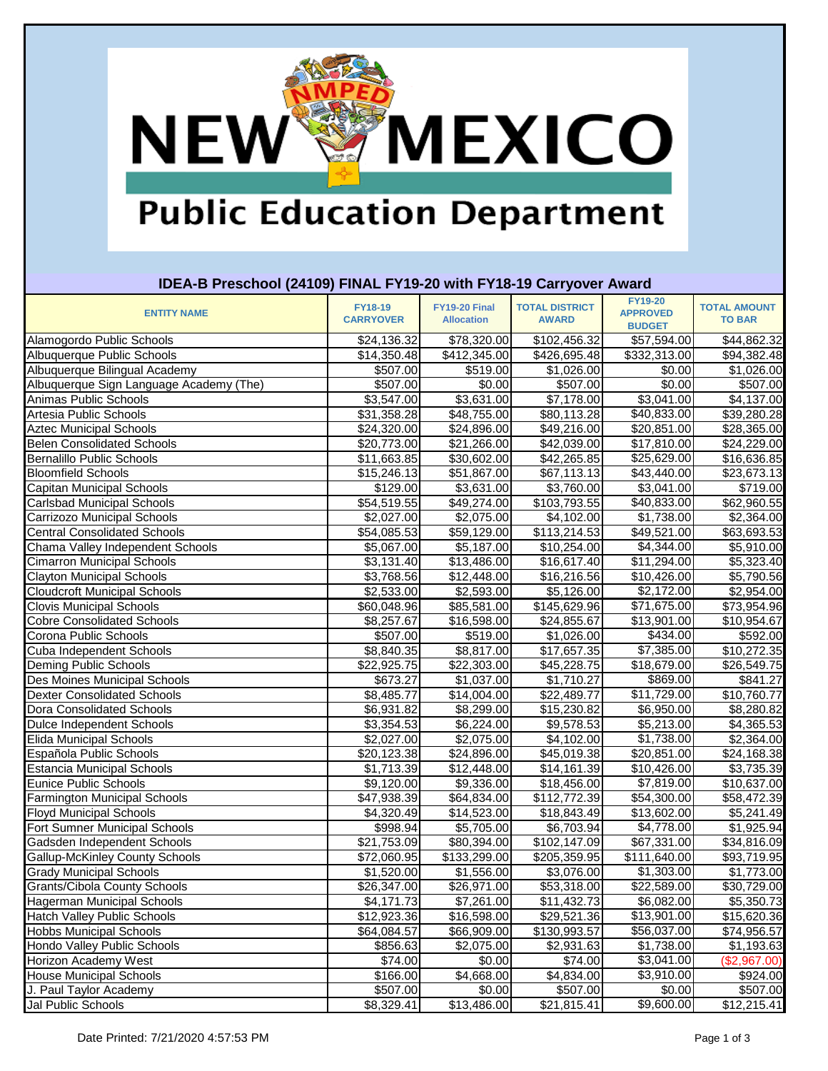### **NEW MEXICO**

#### **Public Education Department**

| IDEA-B Preschool (24109) FINAL FY19-20 with FY18-19 Carryover Award |                  |                   |                       |                                   |                     |  |
|---------------------------------------------------------------------|------------------|-------------------|-----------------------|-----------------------------------|---------------------|--|
| <b>ENTITY NAME</b>                                                  | <b>FY18-19</b>   | FY19-20 Final     | <b>TOTAL DISTRICT</b> | <b>FY19-20</b><br><b>APPROVED</b> | <b>TOTAL AMOUNT</b> |  |
|                                                                     | <b>CARRYOVER</b> | <b>Allocation</b> | <b>AWARD</b>          | <b>BUDGET</b>                     | <b>TO BAR</b>       |  |
| Alamogordo Public Schools                                           | \$24,136.32      | \$78,320.00       | \$102,456.32          | \$57,594.00                       | \$44,862.32         |  |
| Albuquerque Public Schools                                          | \$14,350.48      | \$412,345.00      | \$426,695.48          | \$332,313.00                      | \$94,382.48         |  |
| Albuquerque Bilingual Academy                                       | \$507.00         | \$519.00          | \$1,026.00            | \$0.00                            | \$1,026.00          |  |
| Albuquerque Sign Language Academy (The)                             | \$507.00         | \$0.00            | \$507.00              | \$0.00                            | \$507.00            |  |
| Animas Public Schools                                               | \$3,547.00       | \$3,631.00        | \$7,178.00            | $\overline{$3,041.00}$            | \$4,137.00          |  |
| Artesia Public Schools                                              | \$31,358.28      | \$48,755.00       | \$80,113.28           | \$40,833.00                       | \$39,280.28         |  |
| <b>Aztec Municipal Schools</b>                                      | \$24,320.00      | \$24,896.00       | \$49,216.00           | \$20,851.00                       | \$28,365.00         |  |
| <b>Belen Consolidated Schools</b>                                   | \$20,773.00      | \$21,266.00       | \$42,039.00           | \$17,810.00                       | \$24,229.00         |  |
| <b>Bernalillo Public Schools</b>                                    | \$11,663.85      | \$30,602.00       | \$42,265.85           | \$25,629.00                       | \$16,636.85         |  |
| <b>Bloomfield Schools</b>                                           | \$15,246.13      | \$51,867.00       | \$67,113.13           | \$43,440.00                       | \$23,673.13         |  |
| Capitan Municipal Schools                                           | \$129.00         | \$3,631.00        | \$3,760.00            | \$3,041.00                        | \$719.00            |  |
| <b>Carlsbad Municipal Schools</b>                                   | \$54,519.55      | \$49,274.00       | \$103,793.55          | $\overline{$40,833.00}$           | \$62,960.55         |  |
| Carrizozo Municipal Schools                                         | \$2,027.00       | \$2,075.00        | \$4,102.00            | \$1,738.00                        | \$2,364.00          |  |
| <b>Central Consolidated Schools</b>                                 | \$54,085.53      | \$59,129.00       | \$113,214.53          | \$49,521.00                       | \$63,693.53         |  |
| Chama Valley Independent Schools                                    | \$5,067.00       | \$5,187.00        | \$10,254.00           | \$4,344.00                        | \$5,910.00          |  |
| <b>Cimarron Municipal Schools</b>                                   | \$3,131.40       | \$13,486.00       | \$16,617.40           | \$11,294.00                       | \$5,323.40          |  |
| <b>Clayton Municipal Schools</b>                                    | \$3,768.56       | \$12,448.00       | \$16,216.56           | \$10,426.00                       | \$5,790.56          |  |
| <b>Cloudcroft Municipal Schools</b>                                 | \$2,533.00       | \$2,593.00        | \$5,126.00            | \$2,172.00                        | \$2,954.00          |  |
| <b>Clovis Municipal Schools</b>                                     | \$60,048.96      | \$85,581.00       | \$145,629.96          | \$71,675.00                       | \$73,954.96         |  |
| <b>Cobre Consolidated Schools</b>                                   | \$8,257.67       | \$16,598.00       | \$24,855.67           | \$13,901.00                       | \$10,954.67         |  |
| Corona Public Schools                                               | \$507.00         | \$519.00          | \$1,026.00            | \$434.00                          | \$592.00            |  |
| Cuba Independent Schools                                            | \$8,840.35       | \$8,817.00        | \$17,657.35           | \$7,385.00                        | \$10,272.35         |  |
| <b>Deming Public Schools</b>                                        | \$22,925.75      | \$22,303.00       | \$45,228.75           | \$18,679.00                       | \$26,549.75         |  |
| Des Moines Municipal Schools                                        | \$673.27         | \$1,037.00        | \$1,710.27            | \$869.00                          | \$841.27            |  |
| <b>Dexter Consolidated Schools</b>                                  | \$8,485.77       | \$14,004.00       | \$22,489.77           | \$11,729.00                       | \$10,760.77         |  |
| Dora Consolidated Schools                                           | \$6,931.82       | \$8,299.00        | \$15,230.82           | \$6,950.00                        | \$8,280.82          |  |
| Dulce Independent Schools                                           | \$3,354.53       | \$6,224.00        | \$9,578.53            | \$5,213.00                        | \$4,365.53          |  |
| <b>Elida Municipal Schools</b>                                      | \$2,027.00       | \$2,075.00        | \$4,102.00            | \$1,738.00                        | \$2,364.00          |  |
| Española Public Schools                                             | \$20,123.38      | \$24,896.00       | \$45,019.38           | \$20,851.00                       | \$24,168.38         |  |
| <b>Estancia Municipal Schools</b>                                   | \$1,713.39       | \$12,448.00       | \$14,161.39           | \$10,426.00                       | \$3,735.39          |  |
| Eunice Public Schools                                               | \$9,120.00       | \$9,336.00        | \$18,456.00           | \$7,819.00                        | \$10,637.00         |  |
| <b>Farmington Municipal Schools</b>                                 | \$47,938.39      | \$64,834.00       | \$112,772.39          | $\overline{$}54,300.00$           | \$58,472.39         |  |
| <b>Floyd Municipal Schools</b>                                      | \$4,320.49       | \$14,523.00       | \$18,843.49           | \$13,602.00                       | \$5,241.49          |  |
| Fort Sumner Municipal Schools                                       | \$998.94         | \$5,705.00        | \$6,703.94            | \$4,778.00                        | \$1,925.94          |  |
| Gadsden Independent Schools                                         | \$21,753.09      | \$80,394.00       | \$102,147.09          | \$67,331.00                       | \$34,816.09         |  |
| <b>Gallup-McKinley County Schools</b>                               | \$72,060.95      | \$133,299.00      | \$205,359.95          | \$111,640.00                      | \$93,719.95         |  |
| <b>Grady Municipal Schools</b>                                      | \$1,520.00       | \$1,556.00        | \$3,076.00            | \$1,303.00                        | \$1,773.00          |  |
| <b>Grants/Cibola County Schools</b>                                 | \$26,347.00      | \$26,971.00       | \$53,318.00           | \$22,589.00                       | \$30,729.00         |  |
| <b>Hagerman Municipal Schools</b>                                   | \$4,171.73       | \$7,261.00        | \$11,432.73           | \$6,082.00                        | \$5,350.73          |  |
| <b>Hatch Valley Public Schools</b>                                  | \$12,923.36      | \$16,598.00       | \$29,521.36           | \$13,901.00                       | \$15,620.36         |  |
| <b>Hobbs Municipal Schools</b>                                      | \$64,084.57      | \$66,909.00       | \$130,993.57          | \$56,037.00                       | \$74,956.57         |  |
| Hondo Valley Public Schools                                         | \$856.63         | \$2,075.00        | \$2,931.63            | \$1,738.00                        | \$1,193.63          |  |
| <b>Horizon Academy West</b>                                         | \$74.00          | \$0.00            | \$74.00               | \$3,041.00                        | (\$2,967.00)        |  |
| <b>House Municipal Schools</b>                                      | \$166.00         | \$4,668.00        | \$4,834.00            | \$3,910.00                        | \$924.00            |  |
| J. Paul Taylor Academy                                              | \$507.00         | \$0.00            | \$507.00              | \$0.00                            | \$507.00            |  |
| Jal Public Schools                                                  | \$8,329.41       | \$13,486.00       | \$21,815.41           | \$9,600.00                        | \$12,215.41         |  |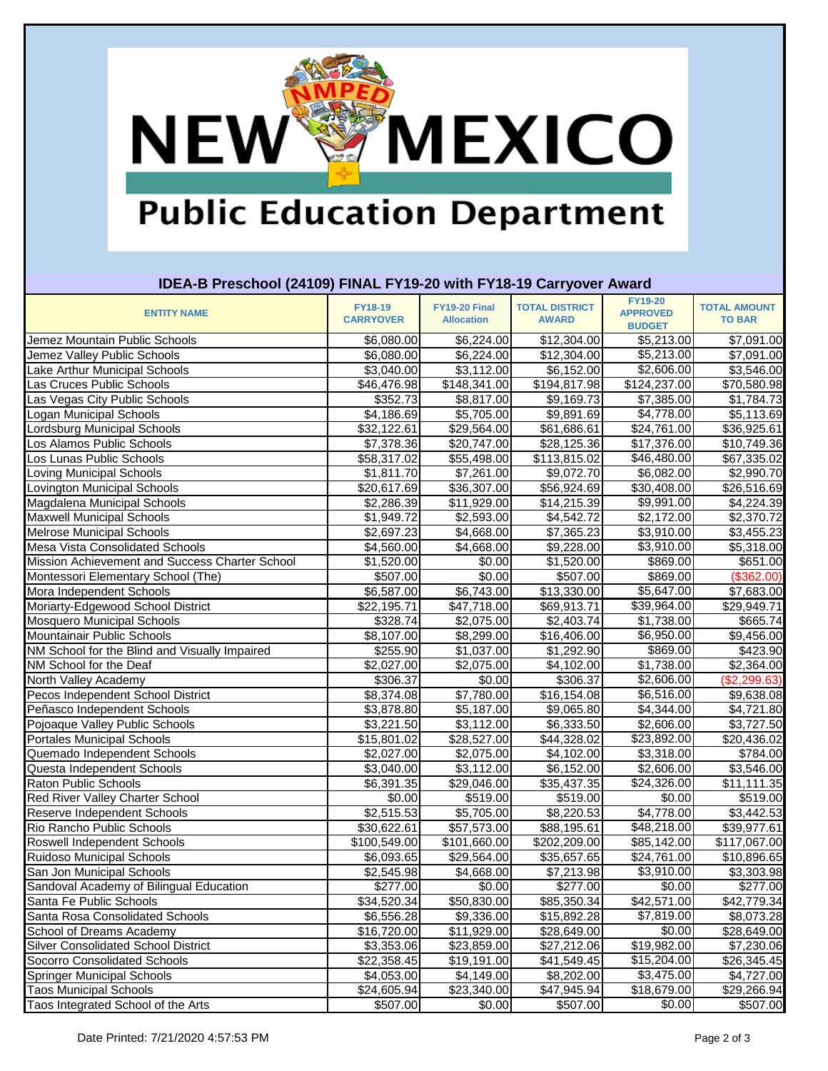## **NEW MEXICO**

#### **Public Education Department**

| IDEA-B Preschool (24109) FINAL FY19-20 with FY18-19 Carryover Award |                                    |                                           |                                       |                                                    |                                      |  |
|---------------------------------------------------------------------|------------------------------------|-------------------------------------------|---------------------------------------|----------------------------------------------------|--------------------------------------|--|
| <b>ENTITY NAME</b>                                                  | <b>FY18-19</b><br><b>CARRYOVER</b> | <b>FY19-20 Final</b><br><b>Allocation</b> | <b>TOTAL DISTRICT</b><br><b>AWARD</b> | <b>FY19-20</b><br><b>APPROVED</b><br><b>BUDGET</b> | <b>TOTAL AMOUNT</b><br><b>TO BAR</b> |  |
| Jemez Mountain Public Schools                                       | \$6,080.00                         | \$6,224.00                                | \$12,304.00                           | \$5,213.00                                         | \$7,091.00                           |  |
| Jemez Valley Public Schools                                         | \$6,080.00                         | \$6,224.00                                | \$12,304.00                           | \$5,213.00                                         | \$7,091.00                           |  |
| Lake Arthur Municipal Schools                                       | \$3,040.00                         | \$3,112.00                                | \$6,152.00                            | \$2,606.00                                         | \$3,546.00                           |  |
| Las Cruces Public Schools                                           | \$46,476.98                        | \$148,341.00                              | $\overline{$}194,817.98$              | $\overline{$124,237.00}$                           | \$70,580.98                          |  |
| Las Vegas City Public Schools                                       | \$352.73                           | \$8,817.00                                | \$9,169.73                            | \$7,385.00                                         | \$1,784.73                           |  |
| Logan Municipal Schools                                             | \$4,186.69                         | \$5,705.00                                | \$9,891.69                            | \$4,778.00                                         | \$5,113.69                           |  |
| Lordsburg Municipal Schools                                         | \$32,122.61                        | \$29,564.00                               | \$61,686.61                           | \$24,761.00                                        | \$36,925.61                          |  |
| Los Alamos Public Schools                                           | \$7,378.36                         | \$20,747.00                               | \$28,125.36                           | \$17,376.00                                        | \$10,749.36                          |  |
| Los Lunas Public Schools                                            | \$58,317.02                        | \$55,498.00                               | \$113,815.02                          | \$46,480.00                                        | \$67,335.02                          |  |
| Loving Municipal Schools                                            | \$1,811.70                         | \$7,261.00                                | \$9,072.70                            | \$6,082.00                                         | \$2,990.70                           |  |
| Lovington Municipal Schools                                         | \$20,617.69                        | \$36,307.00                               | \$56,924.69                           | \$30,408.00                                        | \$26,516.69                          |  |
| Magdalena Municipal Schools                                         | \$2,286.39                         | \$11,929.00                               | \$14,215.39                           | \$9,991.00                                         | \$4,224.39                           |  |
| <b>Maxwell Municipal Schools</b>                                    | \$1,949.72                         | \$2,593.00                                | \$4,542.72                            | \$2,172.00                                         | \$2,370.72                           |  |
| Melrose Municipal Schools                                           | \$2,697.23                         | \$4,668.00                                | \$7,365.23                            | \$3,910.00                                         | \$3,455.23                           |  |
| <b>Mesa Vista Consolidated Schools</b>                              | \$4,560.00                         | \$4,668.00                                | \$9,228.00                            | $\overline{$3,910.00}$                             | \$5,318.00                           |  |
| Mission Achievement and Success Charter School                      | \$1,520.00                         | \$0.00                                    | \$1,520.00                            | \$869.00                                           | \$651.00                             |  |
| Montessori Elementary School (The)                                  | \$507.00                           | \$0.00                                    | \$507.00                              | \$869.00                                           | (\$362.00)                           |  |
| Mora Independent Schools                                            | \$6,587.00                         | \$6,743.00                                | \$13,330.00                           | \$5,647.00                                         | \$7,683.00                           |  |
| Moriarty-Edgewood School District                                   | \$22,195.71                        | \$47,718.00                               | \$69,913.71                           | \$39,964.00                                        | \$29,949.71                          |  |
| <b>Mosquero Municipal Schools</b>                                   | $\overline{$}328.74$               | \$2,075.00                                | $$2,403.\overline{74}$                | \$1,738.00                                         | \$665.74                             |  |
| Mountainair Public Schools                                          | \$8,107.00                         | \$8,299.00                                | \$16,406.00                           | \$6,950.00                                         | \$9,456.00                           |  |
| NM School for the Blind and Visually Impaired                       | \$255.90                           | \$1,037.00                                | \$1,292.90                            | \$869.00                                           | \$423.90                             |  |
| NM School for the Deaf                                              | \$2,027.00                         | \$2,075.00                                | \$4,102.00                            | \$1,738.00                                         | \$2,364.00                           |  |
| North Valley Academy                                                | \$306.37                           | \$0.00                                    | \$306.37                              | \$2,606.00                                         | (\$2,299.63)                         |  |
| Pecos Independent School District                                   | \$8,374.08                         | \$7,780.00                                | \$16,154.08                           | \$6,516.00                                         | \$9,638.08                           |  |
| Peñasco Independent Schools                                         | \$3,878.80                         | \$5,187.00                                | \$9,065.80                            | \$4,344.00                                         | \$4,721.80                           |  |
| Pojoaque Valley Public Schools                                      | \$3,221.50                         | \$3,112.00                                | \$6,333.50                            | \$2,606.00                                         | \$3,727.50                           |  |
| <b>Portales Municipal Schools</b>                                   | \$15,801.02                        | $\overline{$28,527.00}$                   | \$44,328.02                           | $\overline{$}23,892.00$                            | \$20,436.02                          |  |
| Quemado Independent Schools                                         | \$2,027.00                         | \$2,075.00                                | \$4,102.00                            | \$3,318.00                                         | \$784.00                             |  |
| Questa Independent Schools                                          | \$3,040.00                         | \$3,112.00                                | \$6,152.00                            | $\overline{$}2,606.00$                             | \$3,546.00                           |  |
| <b>Raton Public Schools</b>                                         | \$6,391.35                         | \$29,046.00                               | \$35,437.35                           | \$24,326.00                                        | \$11,111.35                          |  |
| <b>Red River Valley Charter School</b>                              | \$0.00                             | \$519.00                                  | \$519.00                              | \$0.00                                             | \$519.00                             |  |
| Reserve Independent Schools                                         | \$2,515.53                         | \$5,705.00                                | \$8,220.53                            | \$4,778.00                                         | \$3,442.53                           |  |
| Rio Rancho Public Schools                                           | \$30,622.61                        | \$57,573.00                               | \$88,195.61                           | \$48,218.00                                        | \$39,977.61                          |  |
| <b>Roswell Independent Schools</b>                                  | \$100,549.00                       | \$101,660.00                              | \$202,209.00                          | \$85,142.00                                        | \$117,067.00                         |  |
| Ruidoso Municipal Schools                                           | \$6,093.65                         | \$29,564.00                               | \$35,657.65                           | \$24,761.00                                        | \$10,896.65                          |  |
| San Jon Municipal Schools                                           | \$2,545.98                         | \$4,668.00                                | \$7,213.98                            | \$3,910.00                                         | \$3,303.98                           |  |
| Sandoval Academy of Bilingual Education                             | \$277.00                           | \$0.00                                    | \$277.00                              | \$0.00                                             | \$277.00                             |  |
| Santa Fe Public Schools                                             | \$34,520.34                        | \$50,830.00                               | \$85,350.34                           | \$42,571.00                                        | \$42,779.34                          |  |
| Santa Rosa Consolidated Schools                                     | \$6,556.28                         | \$9,336.00                                | \$15,892.28                           | \$7,819.00                                         | \$8,073.28                           |  |
| School of Dreams Academy                                            | \$16,720.00                        | \$11,929.00                               | \$28,649.00                           | \$0.00                                             | \$28,649.00                          |  |
| <b>Silver Consolidated School District</b>                          | \$3,353.06                         | \$23,859.00                               | \$27,212.06                           | \$19,982.00                                        | \$7,230.06                           |  |
| Socorro Consolidated Schools                                        | \$22,358.45                        | \$19,191.00                               | \$41,549.45                           | \$15,204.00                                        | \$26,345.45                          |  |
| <b>Springer Municipal Schools</b>                                   | \$4,053.00                         | \$4,149.00                                | \$8,202.00                            | \$3,475.00                                         | \$4,727.00                           |  |
| <b>Taos Municipal Schools</b>                                       | \$24,605.94                        | \$23,340.00                               | \$47,945.94                           | \$18,679.00                                        | \$29,266.94                          |  |
| Taos Integrated School of the Arts                                  | \$507.00                           | \$0.00                                    | \$507.00                              | \$0.00                                             | \$507.00                             |  |